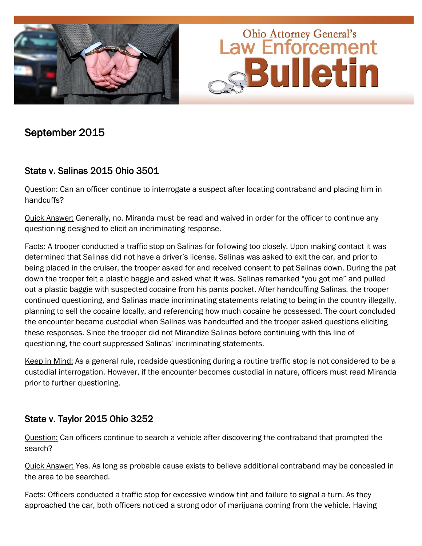



# September 2015

## State v. Salinas 2015 Ohio 3501

Question: Can an officer continue to interrogate a suspect after locating contraband and placing him in handcuffs?

Quick Answer: Generally, no. Miranda must be read and waived in order for the officer to continue any questioning designed to elicit an incriminating response.

Facts: A trooper conducted a traffic stop on Salinas for following too closely. Upon making contact it was determined that Salinas did not have a driver's license. Salinas was asked to exit the car, and prior to being placed in the cruiser, the trooper asked for and received consent to pat Salinas down. During the pat down the trooper felt a plastic baggie and asked what it was. Salinas remarked "you got me" and pulled out a plastic baggie with suspected cocaine from his pants pocket. After handcuffing Salinas, the trooper continued questioning, and Salinas made incriminating statements relating to being in the country illegally, planning to sell the cocaine locally, and referencing how much cocaine he possessed. The court concluded the encounter became custodial when Salinas was handcuffed and the trooper asked questions eliciting these responses. Since the trooper did not Mirandize Salinas before continuing with this line of questioning, the court suppressed Salinas' incriminating statements.

Keep in Mind: As a general rule, roadside questioning during a routine traffic stop is not considered to be a custodial interrogation. However, if the encounter becomes custodial in nature, officers must read Miranda prior to further questioning.

#### State v. Taylor 2015 Ohio 3252

Question: Can officers continue to search a vehicle after discovering the contraband that prompted the search?

Quick Answer: Yes. As long as probable cause exists to believe additional contraband may be concealed in the area to be searched.

Facts: Officers conducted a traffic stop for excessive window tint and failure to signal a turn. As they approached the car, both officers noticed a strong odor of marijuana coming from the vehicle. Having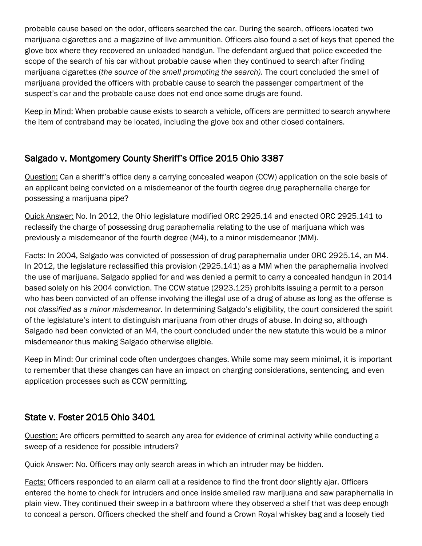probable cause based on the odor, officers searched the car. During the search, officers located two marijuana cigarettes and a magazine of live ammunition. Officers also found a set of keys that opened the glove box where they recovered an unloaded handgun. The defendant argued that police exceeded the scope of the search of his car without probable cause when they continued to search after finding marijuana cigarettes (*the source of the smell prompting the search).* The court concluded the smell of marijuana provided the officers with probable cause to search the passenger compartment of the suspect's car and the probable cause does not end once some drugs are found.

Keep in Mind: When probable cause exists to search a vehicle, officers are permitted to search anywhere the item of contraband may be located, including the glove box and other closed containers.

## Salgado v. Montgomery County Sheriff's Office 2015 Ohio 3387

Question: Can a sheriff's office deny a carrying concealed weapon (CCW) application on the sole basis of an applicant being convicted on a misdemeanor of the fourth degree drug paraphernalia charge for possessing a marijuana pipe?

Quick Answer: No. In 2012, the Ohio legislature modified ORC 2925.14 and enacted ORC 2925.141 to reclassify the charge of possessing drug paraphernalia relating to the use of marijuana which was previously a misdemeanor of the fourth degree (M4), to a minor misdemeanor (MM).

Facts: In 2004, Salgado was convicted of possession of drug paraphernalia under ORC 2925.14, an M4. In 2012, the legislature reclassified this provision (2925.141) as a MM when the paraphernalia involved the use of marijuana. Salgado applied for and was denied a permit to carry a concealed handgun in 2014 based solely on his 2004 conviction. The CCW statue (2923.125) prohibits issuing a permit to a person who has been convicted of an offense involving the illegal use of a drug of abuse as long as the offense is *not classified as a minor misdemeanor.* In determining Salgado's eligibility, the court considered the spirit of the legislature's intent to distinguish marijuana from other drugs of abuse. In doing so, although Salgado had been convicted of an M4, the court concluded under the new statute this would be a minor misdemeanor thus making Salgado otherwise eligible.

Keep in Mind: Our criminal code often undergoes changes. While some may seem minimal, it is important to remember that these changes can have an impact on charging considerations, sentencing, and even application processes such as CCW permitting.

## State v. Foster 2015 Ohio 3401

Question: Are officers permitted to search any area for evidence of criminal activity while conducting a sweep of a residence for possible intruders?

Quick Answer: No. Officers may only search areas in which an intruder may be hidden.

Facts: Officers responded to an alarm call at a residence to find the front door slightly ajar. Officers entered the home to check for intruders and once inside smelled raw marijuana and saw paraphernalia in plain view. They continued their sweep in a bathroom where they observed a shelf that was deep enough to conceal a person. Officers checked the shelf and found a Crown Royal whiskey bag and a loosely tied